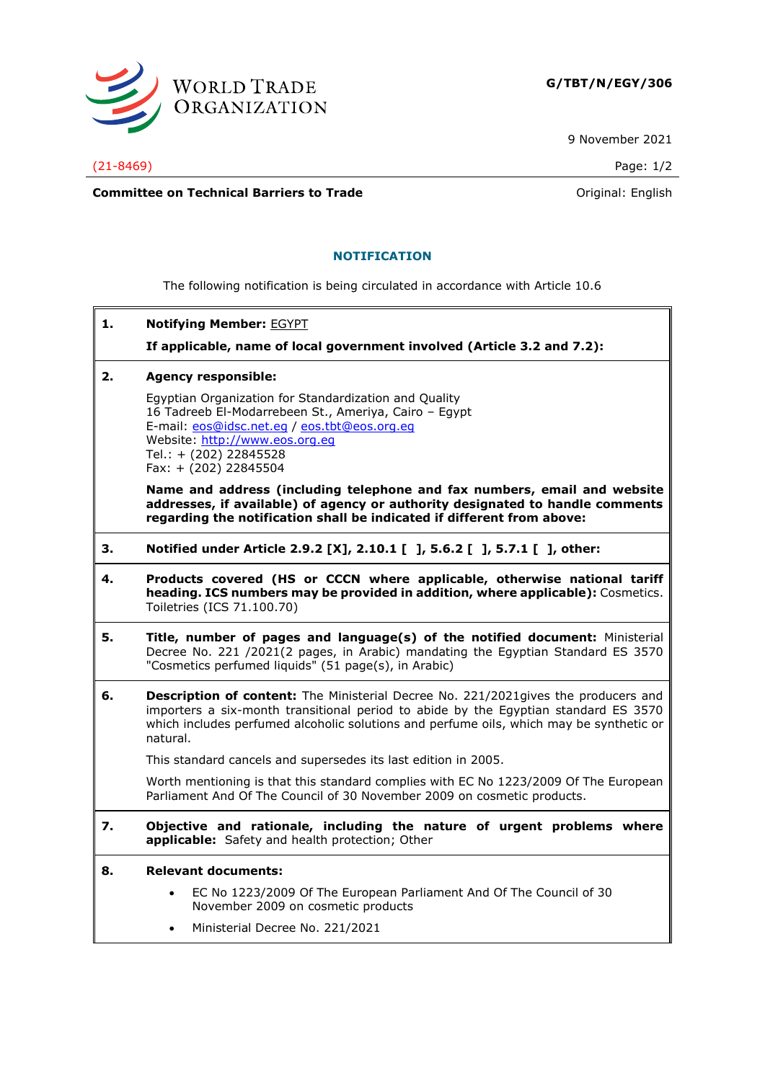

9 November 2021

(21-8469) Page: 1/2

**Committee on Technical Barriers to Trade Committee on Technical Barriers to Trade Original:** English

### **NOTIFICATION**

The following notification is being circulated in accordance with Article 10.6

**1. Notifying Member:** EGYPT

**If applicable, name of local government involved (Article 3.2 and 7.2):**

**2. Agency responsible:**

Egyptian Organization for Standardization and Quality 16 Tadreeb El-Modarrebeen St., Ameriya, Cairo – Egypt E-mail: [eos@idsc.net.eg](mailto:eos@idsc.net.eg) / [eos.tbt@eos.org.eg](mailto:eos.tbt@eos.org.eg) Website: [http://www.eos.org.eg](http://www.eos.org.eg/) Tel.: + (202) 22845528 Fax: + (202) 22845504

**Name and address (including telephone and fax numbers, email and website addresses, if available) of agency or authority designated to handle comments regarding the notification shall be indicated if different from above:**

- **3. Notified under Article 2.9.2 [X], 2.10.1 [ ], 5.6.2 [ ], 5.7.1 [ ], other:**
- **4. Products covered (HS or CCCN where applicable, otherwise national tariff heading. ICS numbers may be provided in addition, where applicable):** Cosmetics. Toiletries (ICS 71.100.70)
- **5. Title, number of pages and language(s) of the notified document:** Ministerial Decree No. 221 /2021(2 pages, in Arabic) mandating the Egyptian Standard ES 3570 "Cosmetics perfumed liquids" (51 page(s), in Arabic)
- **6. Description of content:** The Ministerial Decree No. 221/2021gives the producers and importers a six-month transitional period to abide by the Egyptian standard ES 3570 which includes perfumed alcoholic solutions and perfume oils, which may be synthetic or natural.

This standard cancels and supersedes its last edition in 2005.

Worth mentioning is that this standard complies with EC No 1223/2009 Of The European Parliament And Of The Council of 30 November 2009 on cosmetic products.

- **7. Objective and rationale, including the nature of urgent problems where applicable:** Safety and health protection; Other
- **8. Relevant documents:**
	- EC No 1223/2009 Of The European Parliament And Of The Council of 30 November 2009 on cosmetic products
	- Ministerial Decree No. 221/2021